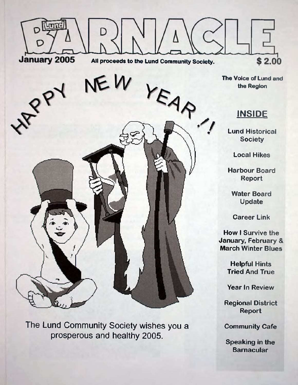

The Lund Community Society wishes you a prosperous and healthy 2005.

**Community Cafe**

**Speaking in the Barnacular**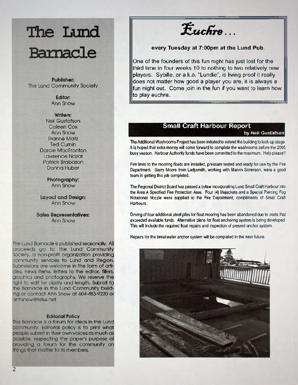# **The Lund Barnacle**

Publisher: **The Lund Community Society**

> Editor: **Ann Snow**

Writers: **Neil Gustafson Coleen Cox Ann Snow Rianne Matz Ted Curnin Darcie MacFronton Lawrence Nazar Patrick Brabazon Donna Huber**

> Photography: **Ann Snow**

Layout and Design: **Ann Snow**

Sales Representatives: **Ann Snow**

**The Lund Barnacle is published seasonally. All proceeds go to the Lund Community Society, a non-profit organization providing community services to Lund and Region. Submissions are welcome in the form of articles, news items, letters to the editor, fillers, graphics and photographs. We reserve the right to edit for clarity and length. Submit to the Barnacle in the Lund Community building or contact Ann Snow at 604-483-9220 or annsnow@telus. net.**

#### Editorial Policy

The Barnacle is a forum for ideas in the Lund community. Editorial policy is to print what people submit in their own voices as much as possible, respecting the papers purpose of providing a forum for the community on things that matter to its members.

 $\mathcal{F}$ uchre ...

#### **every Tuesday at 7:00pm at the Lund Pub.**

One of the founders of this fun night has just lost for the third time in four weeks 10 to nothing to two relatively new players. Sybille, or a.k.a. "Lundie", is living proof it really does not matter how good a player you are, it is always a fun night out. Come join in the fun if you want to learn how to play euchre.

#### **Small Craft Harbour Report**

#### **by Neil Gustafson**

The Additional Washrooms Project has been initiated to extend the building to lock-up stage. It is hoped that extra money will come forward to complete the washrooms before the 2005 busy season. Harbour Authority funds have been committed to the maximum. Help please!!

Fire lines to the mooring floats are installed, pressure tested and ready for use by the Fire Department. Garry Moore from Ladysmith, working with Marvin Sorenson, were a good team in getting this job completed.

The Regional District Board has passed a bylaw incorporating Lund Small Craft Harbour into the Area A Specified Fire Protection Area. Four (4) lifejackets and a Special Piercing Fog Rotational Nozzle were supplied to the Fire Department, compliments of Small Craft Harbours.

Driving of four additional steel piles for float mooring has been abandoned due to costs that exceeded available funds. Alternative plans for float anchoring system is being developed. This will include the required float repairs and inspection of present anchor system.

Repairs for the breakwater anchor system will be completed in the near future.

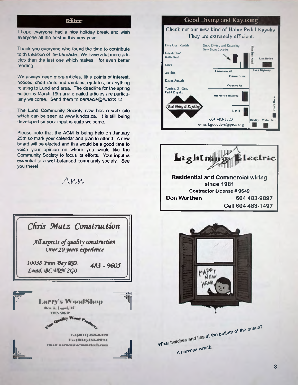I hope everyone had a nice holiday break and wish everyone all the best in this new year.

Thank you everyone who found the time to contribute to this edition of the barnacle. We have a lot more articles than the last one which makes for even better reading.

We always need more articles, little points of interest, notices, short rants and rambles, updates, or anything relating to Lund and area. The deadline for the spring edition is March 15th and emailed articles are particularly welcome. Send them to *[barnacle@lundcs.ca.](mailto:barnacle@lundcs.ca)*

The Lund Community Society now has a web site which can be seen at [www.lundcs.ca](http://www.lundcs.ca). It is still being developed so your input is quite welcome.

Please note that the AGM is being held on January 25th so mark your calendar and plan to attend. A new board will be elected and this would be a good time to voice your opinion on where you would like the Community Society to focus its efforts. Your input is essential to a well-balanced community society. See you there!

A n n



#### **Solution Good Diving and Kayaking**







What A nervous wreck. at the bottom of the ocean?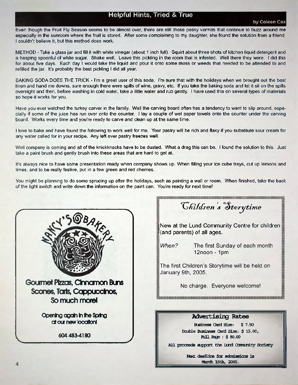### **Helpful Hints, Tried & True**

#### **by Coleen Cox**

Even though the Fruit Fly Season seems to be almost over there are still those pesky varmits that continue to buzz around me especially in the sunroom where the fruit is stored. After some complaining to my daughter, she found the solution from a friend. I couldn't believe it, but this method does work.

METHOD - Take a glass jar and fill it with white vinegar (about 1 inch full). Squirt about three shots of kitchen liquid detergent and a heaping spoonful of white sugar. Shake well. Leave this pickling in the room that is infested. Well there they were. I did this for about five days. Each day I would take the liquid and pour it onto some moss or weeds that needed to be attended to and refilled the jar. It's probably the best pickling I did all year.

BAKING SODA DOES THE TRICK - I'm a great user of this soda. I'm sure that with the holidays when we brought out the best linen and hand me downs, sure enough there were spills of wine, gravy, etc. If you take the baking soda and let it sit on the spills overnight and then, before washing in cold water, take a little water and rub gently. I have used this on several types of materials so hope it works for you.

Have you ever watched the turkey carver in the family. Well the carving board often has a tendency to want to slip around, especially if some of the juice has run over onto the counter. I lay a couple of wet paper towels onto the counter under the carving board. Works every time and you're ready to carve and clean up at the same time.

I love to bake and have found the following to work well for me. Your pastry will be rich and flaky if you substitute sour cream for any water called for in your recipe. Any left over pastry freezes well.

Well company is coming and all of the knickknacks have to be dusted. What a drag this can be. I found the solution to this. Just take a paint brush and gently brush into these areas that are hard to get at.

It's always nice to have some presentation ready when company shows up. When filling your ice cube trays, cut up lemons and limes, and to be really festive, put in a few green and red cherries.

You might be planning to do some sprucing up after the holidays, such as painting a wall or room. When finished, take the back of the light switch and write down the information on the paint can. You're ready for next time!



*<i>Ghildren's* Storytime **|New at the Lund Community Centre for children I (and parents) of all ages.**When? The first Sunday of each month  $12$ noon - 1pm

<u> 1999 - 1999 - 1999 - 1999 - 1999 - 1999 - 1999 - 1999 - 1999 - 1999 - 1999 - 1999 - 1999 - 1999 - 1999 - 199</u>

The first Children's Storytime will be held on January 9th, 2005.

No charge. Everyone welcome!

**Advertising Rates**

Business Card Size: \$ 7.50 Double Business Card Size: \$ 15.00, **Rull Rage : \$ 80.00** 

All proceeds support the Iund Comunity Society

Next deadline for submissions is March 15th, 2005.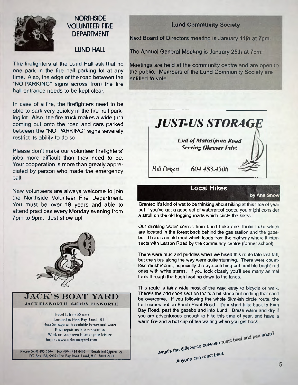

### **NORTHSIDE VOLUNTEER FIRE DEPARTMENT**

#### **LUND HALL**

The firefighters at the Lund Hall ask that no one park in the fire hall parking lot at any time. Also, the edge of the road between the "NO PARKING" signs across from the fire hall entrance needs to be kept clear.

In case of a fire, the firefighters need to be able to park very quickly in the fire hall parking lot. Also, the fire truck makes a wide turn coming out onto the road and cars parked between the "NO PARKING" signs severely restrict its ability to do so.

Please don't make our volunteer firefighters' jobs more difficult than they need to be. Your cooperation is more than greatly appreciated by person who made the emergency call.

New volunteers are always welcome to join the Northside Volunteer Fire Department. You must be over 19 years and able to attend practices every Monday evening from 7pm to 9pm. Just show up!



**JACK 'S BO AT YARD JACK ELSWORTH GERRY ELSWORTH** 

> Travel Lift to 30 tons Located in Finn Bay, Lund, B.C. Boat Storage with available Power and water Boat repair and/or renovation Work on your own boat at your leisure [h ttp ://www.jacksboatyard.com](http://www.jacksboatyard.com)

Phone (604) 483-3566 Fax (604) 414-0402 Email: [jack@prcn.org](mailto:jack@prcn.org) PO Box 138, 9907 Finn Bay Road, Lund, B.C. VON 2G0

#### **Lund Community Society**

Next Board of Directors meeting is January 11th at 7pm.

The Annual General Meeting is January 25th at 7pm.

Meetings are held at the community centre and are open to the public. Members of the Lund Community Society are entitled to vote.



Granted it's kind of wet to be thinking about hiking at this time of year but if you've got a good set of waterproof boots, you might consider a stroll on the old logging roads which circle the lakes.

Our drinking water comes from Lund Lake and Thulin Lake which are located in the forest back behind the gas station and the gazebo. There's an old road which leads from the highway where it intersects with Larson Road by the community centre (former school).

There were mud and puddles when we hiked this route late last fall, but the sites along the way were quite stunning. There were countless mushrooms, especially the eye-catching but inedible bright red ones with white stems. If you look closely you'll see many animal trails through the bush leading down to the lakes.

This route is fairly wide most of the way; easy to bicycle or walk. There's the odd short section that's a bit steep but nothing that can't be overcome. If you following the whole 5km-ish circle route, the trail comes out on Sarah Point Road, It's a short hike back to Finn Bay Road, past the gazebo and into Lund. Dress warm and dry if you are adventurous enough to hike this time of year, and have a warm fire and a hot cup of tea waiting when you get back.

> What's the difference Anyone can hetween roast beel.

soup\*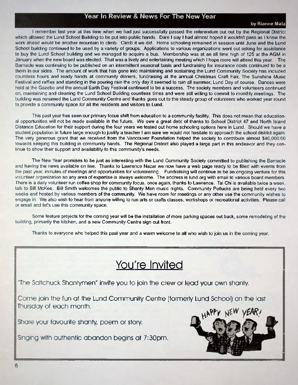#### **Year In Review & News For The New Year**

#### **by Rianne Matz**

I remember last year at this time when we had just successfully passed the referendum put out by the Regional District which allowed the Lund School Building to be put into public hands. Dare I say I had almost hoped it wouldn't pass as I knew the work ahead would be another mountain to climb. Climb it we did. Home schooling remained in session until June and the Lund School building continued to be used by a variety of groups. Applications to various organizations went out asking for assistance to buy the Lund School building and we managed to acquire a bus. Membership was at an all time high of 125 at the AGM in January when the new board was elected. That was a lively and entertaining meeting which I hope more will attend this year. The Barnacle was continuing to be published on an intermittent seasonal basis and fundraising for insurance costs continued to be a thorn in our sides. The amount of work that has gone into maintaining and sustaining the Lund Community Society has included countless hours and ready hands at community dinners, fundraising at the annual Christmas Craft *Fair,* The Sunshine Music Festival and raffles and standing in the pouring rain the only day it seemed to rain all summer; Lund Day of course. Dances were held at the Gazebo and the annual Earth Day Festival continued to be a success. The society members and volunteers continued on, maintaining and cleaning the Lund School Building countless times and were still willing to commit to monthly meetings. The building was renamed the Lund Community Centre and thanks goes out to the steady group of volunteers who worked year round to provide a community space for all the residents and visitors to Lund.

This past year has seen our primary focus shift from education to a community facility. This does not mean that educational opportunities will not be made available in the future. We owe a great debt of thanks to School District 47 and North Island Distance Education for their support during the four years we tested out home schooling options here in Lund. Should we have a student population in future large enough to justify a teacher I am sure we would not hesitate to approach the school district again. The very generous grant that we received from the Vancouver Foundation helped the society to contribute almost \$40,000.00 towards keeping this building in community hands. The Regional District also played a large part in this endeavor and they continue to show their support and availability to this community's needs.

The New Year promises to be just as interesting with the Lund Community Society committed to publishing the Barnacle and having the news available on line. Thanks to Lawrence Nazar we now have a web page ready to be filled with events from the past year minutes of meetings and opportunities for volunteering. Fundraising will continue to be an ongoing venture for this volunteer organization so any area of expertise is always welcome. The address is lund.org with email to various board members. There is a daily volunteer run coffee shop for community focus, once again, thanks to Lawrence. Tai Chi is available twice a week, talk to Bill McKee. Bill Smith welcomes the public to Shanty Men music nights. Community Potlucks are being held every two weeks and hosted by various members of the community. We have room for meetings or any other use the community wishes to engage in. We also wish to hear from anyone willing to run arts or crafts classes, workshops or recreational activities. Please call or email and let's use this community space.

Some feature projects for the coming year will be the installation of more parking spaces out back, some remodeling of the building, primarily the kitchen, and a new Community Centre sign out front.

Thanks to everyone who helped this past year and a warm welcome to all who wish to join us in the coming year.

### You're Invited

"The Saltchuck Shantymen" invite you to join the crew or lead your own shanty.

Come join the fun at the Lund Community Centre (formerly Lund School) on the last Thursday of each month.

Share your favourite shanty, poem or story.

Singing with authentic abandon begins at 7:30pm.

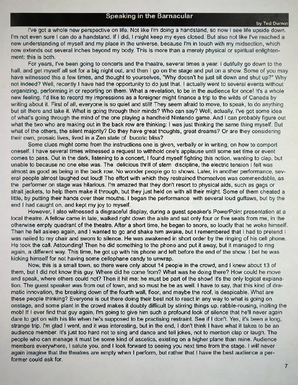#### **Speaking in the Barnacular**

**by Ted Ournin**

I've got a whole new perspective on life. Not like I'm doing a handstand, so now I see life upside down. I'm not even sure I can do a handstand. If I did, I might keep my eyes closed. But also not like I've reached a new understanding of myself and my place in the universe, because I'm in touch with my midsection, which now extends out several inches beyond my body. This is more than a merely physical or spiritual enlightenment: this is both.

For years, I've been going to concerts and the theatre, several times a year. I dutifully go down to the hall, and get myself all set for a big night out, and then I go on the stage and put on a show. Some of you may have witnessed this a few times, and thought to yourselves, "Why doesn't he just sit down and shut up?" Why not indeed? Well, recently I have had the opportunity to do just that. I actually went to several events without organizing, performing in or reporting on them. What a revelation, to be in the audience for once! It's a whole new feeling. I'd like to record my impressions as a foreigner might finance a trip to the wilds of Canada by writing about it. First of all, everyone is so quiet and still! They seem afraid to move, to speak, to do anything but sit there and take it. What is going through their minds? Who can say? Well, actually, I've got some idea of what's going through the mind of the one playing a handheld Nintendo game. And I can probably figure out what the two who are making out in the back row are thinking: I was just thinking the same thing myself. But what of the others, the silent majority? Do they have great thoughts, great dreams? Or are they considering their own, prosaic lives, lived in a Zen state of bucolic bliss?

Some clues might come from the instructions one is given, verbally or in writing, on how to comport oneself. I have several times witnessed a request to withhold one's applause until some set time or event comes to pass. Out in the dark, listening to a concert, I found myself fighting this notion, wanting to clap, but unable to because no one else was. The delicious thrill of stern discipline, the electric tension I felt was almost as good as being in the back row. No wonder people go to shows. Later, in another performance, several people almost laughed out loud! The effort with which they restrained themselves was commendable, as the performer on stage was hilarious. I'm amazed that they don't resort to physical aids, such as gags or strait jackets, to help them make it through, but they just held on with all their might. Some of them cheated a little, by putting their hands over their mouths. I began the performance with several loud guffaws, but by the end I had caught on, and kept my joy to myself.

However, I also witnessed a disgraceful display, during a guest speaker's PowerPoint presentation at a local theatre. A fellow came in late, walked right down the aisle and sat only four or five seats from me, in the otherwise empty quadrant of the theatre. After a short time, he began to snore, so loudly that he woke himself. Then he fell asleep again, and I wanted to go and shake him awake, but I remembered that I had to pretend I was nailed to my chair and sworn to silence. He was awakened in short order by the ringing of his cell phone. He took the call. Astounding! Then he did something to the phone and put it away, but it managed to ring again, a different way. This time, he got up with his phone and left before the end of the show. I bet he was kicking himself for not having some cellophane candy to unwrap.

Now, this is a small town, so there were only about 14 people in the crowd, and I knew about 13 of them, but I did not know this guy. Where did he come from? What was he doing there? How could he move and speak, where others could not? Then it hit me: he must be part of the show! It's the only logical explanation. The guest speaker was from out of town, and so must he be as well. I have to say that this kind of dramatic innovation, the breaking down of the fourth wall, floor, and maybe the roof, is despicable. What are these people thinking? Everyone is out there doing their best not to react in any way to what is going on onstage, and some plant in the crowd makes it doubly difficult by stirring things up, rabble-rousing, inciting the mob! If I ever find that guy again, I'm going to give him such a profound look of silence that he'll never again dare to get on with his life when he's supposed to be practising restraint. See if I don't. Yes, it's been a long, strange trip. I'm glad I went, and it was interesting, but in the end, I don't think I have what it takes to be an audience member. It's just too hard not to sing and dance and tell jokes, not to mention clap or laugh. The people who can manage it must be some kind of ascetics, existing on a higher plane than mine. Audience members everywhere, I salute you, and I look forward to seeing you next time from the stage. I will never again imagine that the theatres are empty when I perform, but rather that I have the best audience a performer could ask for.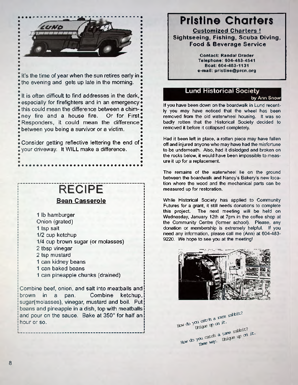

It's the time of year when the sun retires early in the evening and gets up late in the morning.

**•**

**•**

**•** It is often difficult to find addresses in the dark, especially for firefighters and in an emergency • this could mean the difference between a chimney fire and a house fire. Or for First, Responders, it could mean the difference $\ddagger$ between you being a survivor or a victim.

Consider getting reflective lettering the end of. your driveway. It WILL make a difference.

**\*\*\*\*\*\*\*\*\*\*** 

## **RECIPE**

#### **Bean Casserole**

1 lb hamburger Onion (grated) 1 tsp salt 1/2 cup ketchup 1/4 cup brown sugar (or molasses) 2 tbsp vinegar 2 tsp mustard 1 can kidney beans 1 can baked beans 1 can pineapple chunks (drained)

Combine beef, onion, and salt into meatballs and brown in a pan. Combine ketchup, sugar(molasses), vinegar, mustard and boil. Put beans and pineapple in a dish, top with meatballs and pour on the sauce. Bake at 350° for half an hour or so.

## **Pristine Charters**

**Customized Charters ! Sightseeing, Fishing, Scuba Diving, Food & Beverage Service**

> **Contact: Randal Drader Telephone: 604-483-4541 Boat: 604-483-1131 e-mail: [pristine@ prcn.org](mailto:pristine@prcn.org)**

### **Lund Historical Society**

**by Ann Snow**

If you have been down on the boardwalk in Lund recently you may have noticed that the wheel has been removed from the old waterwheel housing. It was so badly rotten that the Historical Society decided to removed it before it collapsed completely.

Had it been left in place, a rotten piece may have fallen off and injured anyone who may have had the misfortune to be underneath. Also, had it dislodged and broken on the rocks below, it would have been impossible to measure it up for a replacement.

The remains of the waterwheel lie on the ground between the boardwalk and Nancy's Bakery's new location where the wood and the mechanical parts can be measured up for restoration.

While Historical Society has applied to Community Futures for a grant, it still needs donations to complete this project. The next meeting will be held on Wednesday, January 12th at 7pm in the coffee shop at the Community Centre (former school). Please, any donation or membership is extremely helpful. If you need any information, please call me (Ann) at 604-483- 9220. We hope to see you at the meeting!



How do you catch a rare rathit?<br>thique up on it. Tame way. thighe up on it. How do you catch a tare rabbit?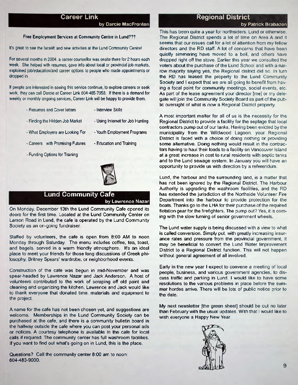#### **Career Link**

**by Darcie MacFronton**

#### **Free Employment Services at Community Centre in Lund???**

It's great to see the facelift and new activities at the Lund Community Centre!

For several months in 2004, a career counsellor was onsite there for 2 hours each week. She helped with resumes, gave info about local or provincial job markets, explained job/education/and career options to people who made appointments or dropped in.

If people are interested in seeing this service continue, to explore careers or seek work, they can call Darcie at Career Link 604-485-7958. If there is a demand for weekly or monthly ongoing services, Career Link will be happy to provide them.

- Resumes and Cover letters - Interview Skills
- Finding the Hidden Job Market - Using Internet for Job Hunting
- What Employers are Looking For

- Careers with Promising Futures

• Education and Training

- Youth Employment Programs

- Funding Options for Training



#### **Lund Community Cafe**

by Lawrence Nazar

On Monday, December 13th the Lund Community Cafe opened its doors for the first time. Located at the Lund Community Center on Larson Road in Lund, the cafe is operated by the Lund Community Society as an on-going fundraiser.

Staffed by volunteers, the cafe is open from 8:00 AM to noon Monday through Saturday. The menu includes coffee, tea, toast, and bagels, served in a warm friendly atmosphere. It's an ideal place to meet your friends for those long discussions of Greek philosophy, Britney Spears' wardrobe, or neighborhood events.

Construction of the cafe was begun in mid-November and was spear-headed by Lawrence Nazar and Jack Anderson. A host of volunteers contributed to the work of scraping off old paint and cleaning and organizing the kitchen. Lawrence and Jack would like to thank everyone that donated time, materials and equipment to the project.

A name for the cafe has not been chosen yet, and suggestions are welcome. Memberships in the Lund Community Society can be purchased at the cafe, and there is a community bulletin board in the hallway outside the cafe where you can post your personal ads or notices. A courtesy telephone is available in the cafe for local calls if required. The community center has full washroom facilities. If you want to find out what's going on in Lund, this is the place.

Questions? Call the community center 8:00 am to noon: 604-483-9000.

#### **Regional District**

#### **by Patrick Brabazon**

This has been quite a year for northsiders, Lund or otherwise. The Regional District spends a lot of time on Area A and it seems that our issues call for a lot of attention from my fellow directors and the RD staff. A lot of concerns that have been quietly simmering have moved to a boil, and others have dropped right off the stove. Earlier this year we consulted the voters about the purchase of the Lund School and with a narrow majority saying yes, the Regional district did so. In turn the RD has leased the property to the Lund Community Society and I expect that we are all going to benefit from having a focal point for community meetings, social events, etc. As part of the lease agreement your director [me] or my delegate will join the Community Society Board as part of the public oversight of what is now a Regional District property

A most important matter for all of us is the necessity for the Regional District to provide a facility for the septage that local contractors pump out of our tanks. Having been evicted by the municipality from the Wildwood Lagoon, your Regional District is faced with a choice of doing nothing or providing some alternative. Doing nothing would result in the contractors having to haul their loads to a facility on Vancouver Island at a great increase in cost to rural residents with septic tanks and to the Lund sewage system. In January you will have an opportunity to provide us with direction by a referendum.

Lund, the harbour and the surrounding land, is a matter that has not been ignored by the Regional District. The Harbour Authority is upgrading the washroom facilities, and the RD has extended the jurisdiction of the Northside Volunteer Fire Department into the harbour to provide protection for the boats. Thanks go to the LHA for their purchase of the required flotation gear for the firefighters. The pump out? Yes, it is coming with the slow turning of senior government wheels.

The Lund water supply is being discussed with a view to what is called conversion. Simply put, with greatly increasing insurance rates and pressure from the provincial government, it may be beneficial to convert the Lund Water Improvement District to a Regional District function. This will not happen without general agreement of all involved.

Early in the new year I expect to convene a meeting of local people, business, and various government agencies, to discuss traffic and parking in Lund. I would like to have some resolutions to the various problems in place before the summer hordes arrive. There will be lots of public notice prior to the date.

My next newsletter [the green sheet] should be out no later than February with the usual updates. With that I would like to wish everyone a Happy New Year.

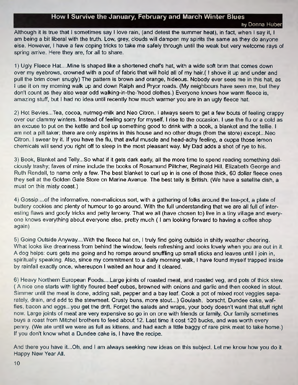#### **How I Survive the January, February and March Winter Blues**

Although it is true that I sometimes say I love rain, (and detest the summer heat), in fact, when I say it, I am being a bit liberal with the truth. Low, grey, clouds will dampen my spirits the same as they do anyone else. However, I have a few coping tricks to take me safely through until the weak but very welcome rays of spring arrive. Here they are, for all to share.

1) Ugly Fleece Hat....Mine is shaped like a shortened chefs hat, with a wide soft brim that comes down over my eyebrows, crowned with a pouf of fabric that will hold all of my hair.( I shove it up and under and pull the brim down snugly) The pattern is brown and orange, hideous. Nobody ever sees me in this hat, as I use it on my morning walk up and down Ralph and Pryor roads. (My neighbours have seen me, but they don't count as they also wear odd walking-in-the-'hood clothes.) Everyone knows how warm fleece is, amazing stuff, but I had no idea until recently how much warmer you are in an ugly fleece hat.

2) Hot Bevies...Tea, cocoa, nutmeg-milk and Neo Citron. I always seem to get a few bouts of feeling crappy over our clammy winters. Instead of feeling sorry for myself, I rise to the occasion. I use the flu or a cold as an excuse to put on the kettle and boil up something good to drink with a book, a blanket and the tellie. I am not a pill taker; there are only aspirins in this house and no other drugs (from the store) except...Neo Citron. I swear by it. If you have the flu, that awful muscle and head-achy feeling, a cuppa those lemon chemicals will send you right off to sleep in the most pleasant way My Dad adds a shot of rye to his.

3) Book, Blanket and Telly...So what if it gets dark early all the more time to spend reading something deliciously trashy; faves of mine include the books of Rosamund Piltcher, Reginald Hill, Elizabeth George and Ruth Rendell, to name only a few. The best blanket to curl up in is one of those thick, 60 dollar fleece ones they sell at the Golden Gate Store on Marine Avenue. The best telly is British. (We have a satellite dish, a must on this misty coast.)

4) Gossip....of the informative, non-malicious sort, with a gathering of folks around the tea-pot, a plate of buttery cookies and plenty of humour to go around. With the full understanding that we are all full of interesting flaws and goofy tricks and petty larceny. That we all (have chosen to) live in a tiny village and everyone knows everything about everyone else, pretty much ( I am looking forward to having a coffee shop again)

5) Going Outside Anyway....With the fleece hat on, I truly find going outside in shitty weather cheering. What looks like dreariness from behind the window, feels refreshing and looks lovely when you are out in it. A dog helps: ours gets me going and he romps around snuffling up small sticks and leaves until I join in, spiritually speaking. Also, since my commitment to a daily morning walk, I have found myself trapped inside by rainfall exactly once, whereupon I waited an hour and it cleared.

6) Heavy Northern European Foods....Large joints of roasted meat, and roasted veg, and pots of thick stew. ( A nice one starts with lightly floured beef cubes, browned with onions and garlic and then cooked in stout. Simmer until the meat is done, adding salt, pepper and a bay leaf. Cook a pot of mixed root veggies separately, drain, and add to the stewmeat. Crusty buns, more stout...) Goulash, borscht, Dundee cake, waffles, bacon and eggs...you get the drift. Forget the salads and wraps, your body doesn't want that stuff right now. Large joints of meat are very expensive so go in on one with friends or family Our family sometimes buys a roast from Mitchel brothers to feed about 12. Last time it cost 120 bucks, and was worth every penny. (We ate until we were as full as kittens, and had each a little baggy of rare pink meat to take home.) If you don't know what a Dundee cake is, I have the recipe.

And there you have it...Oh, and I am always seeking new ideas on this subject. Let me know how you do it. Happy New Year All.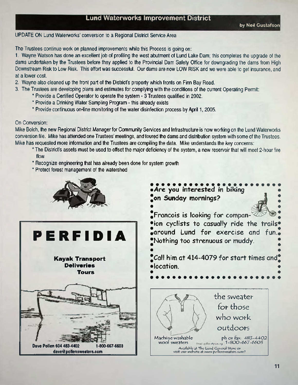#### **Lund Waterworks Improvement District**

UPDATE ON Lund Waterworks' conversion to a Regional District Service Area

The Trustees continue work on planned improvements while this Process is going on:

1. Wayne Watson has done an excellent job of profiling the west abutment of Lund Lake Dam; this completes the upgrade of the dams undertaken by the Trustees before they applied to the Provincial Dam Safety Office for downgrading the dams from High Downstream Risk to Low Risk. This effort was successful. Our dams are now LOW RISK and we were able to get insurance, and at a lower cost.

- 2. Wayne also cleaned up the front part of the District's property which fronts on Finn Bay Road.
- 3. The Trustees are developing plans and estimates for complying with the conditions of the current Operating Permit:
	- \* Provide a Certified Operator to operate the system 3 Trustees qualified in 2002.
	- \* Provide a Drinking Water Sampling Program this already exists
	- \* Provide continuous on-line monitoring of the water disinfection process by April 1,2005.

#### On Conversion:

Mike Bolch, the new Regional District Manager for Community Services and Infrastructure is now working on the Lund Waterworks conversion file. Mike has attended one Trustees' meetings, and toured the dams and distribution system with some of the Trustees. Mike has requested more information and the Trustees are compiling the data. Mike understands the key concerns:

- \* The District's assets must be used to offset the major deficiency of the system, a new reservoir that will meet 2-hour fire flow
- \* Recognize engineering that has already been done for system growth
- \* Protect forest management of the watershed